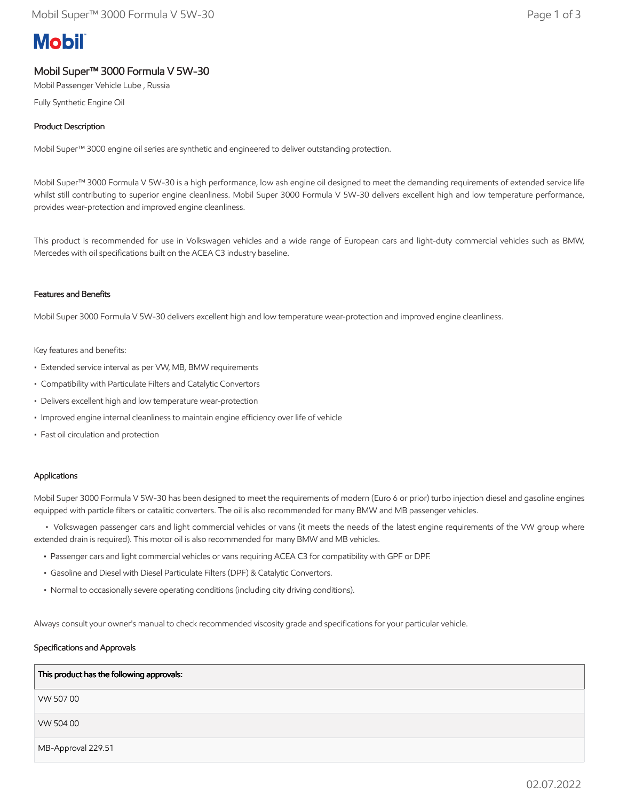# **Mobil**

## Mobil Super™ 3000 Formula V 5W-30

Mobil Passenger Vehicle Lube , Russia

Fully Synthetic Engine Oil

### Product Description

Mobil Super™ 3000 engine oil series are synthetic and engineered to deliver outstanding protection.

Mobil Super™ 3000 Formula V 5W-30 is a high performance, low ash engine oil designed to meet the demanding requirements of extended service life whilst still contributing to superior engine cleanliness. Mobil Super 3000 Formula V 5W-30 delivers excellent high and low temperature performance, provides wear-protection and improved engine cleanliness.

This product is recommended for use in Volkswagen vehicles and a wide range of European cars and light-duty commercial vehicles such as BMW, Mercedes with oil specifications built on the ACEA C3 industry baseline.

#### Features and Benefits

Mobil Super 3000 Formula V 5W-30 delivers excellent high and low temperature wear-protection and improved engine cleanliness.

#### Key features and benefits:

- Extended service interval as per VW, MB, BMW requirements
- Compatibility with Particulate Filters and Catalytic Convertors
- Delivers excellent high and low temperature wear-protection
- Improved engine internal cleanliness to maintain engine efficiency over life of vehicle
- Fast oil circulation and protection

#### Applications

Mobil Super 3000 Formula V 5W-30 has been designed to meet the requirements of modern (Euro 6 or prior) turbo injection diesel and gasoline engines equipped with particle filters or catalitic converters. The oil is also recommended for many BMW and MB passenger vehicles.

 • Volkswagen passenger cars and light commercial vehicles or vans (it meets the needs of the latest engine requirements of the VW group where extended drain is required). This motor oil is also recommended for many BMW and MB vehicles.

- Passenger cars and light commercial vehicles or vans requiring ACEA C3 for compatibility with GPF or DPF.
- Gasoline and Diesel with Diesel Particulate Filters (DPF) & Catalytic Convertors.
- Normal to occasionally severe operating conditions (including city driving conditions).

Always consult your owner's manual to check recommended viscosity grade and specifications for your particular vehicle.

#### Specifications and Approvals

| This product has the following approvals: |
|-------------------------------------------|
| VW 50700                                  |
| VW 504 00                                 |
| MB-Approval 229.51                        |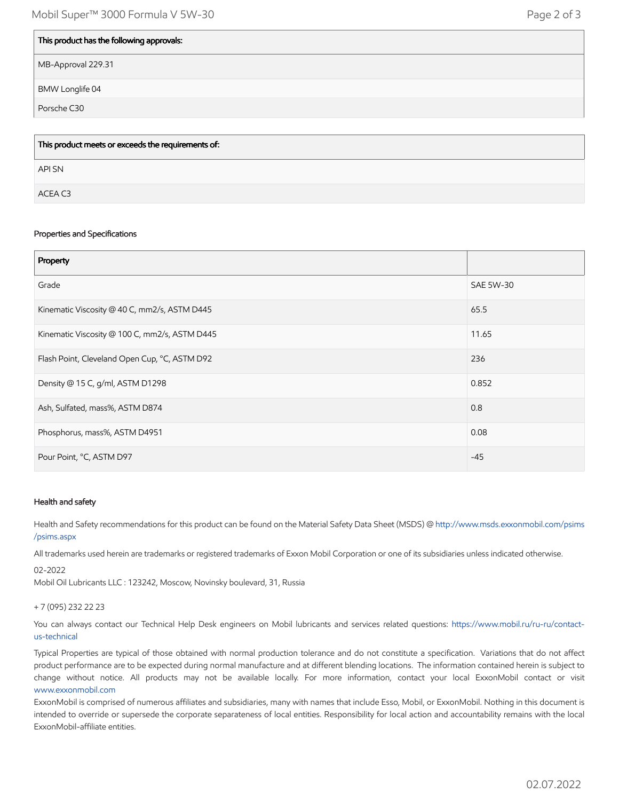| This product has the following approvals: |
|-------------------------------------------|
| MB-Approval 229.31                        |
| BMW Longlife 04                           |
| Porsche C30                               |

| $\,$ This product meets or exceeds the requirements of: |
|---------------------------------------------------------|
| API SN                                                  |
| ACEA C3                                                 |

#### Properties and Specifications

| Property                                      |           |
|-----------------------------------------------|-----------|
| Grade                                         | SAE 5W-30 |
| Kinematic Viscosity @ 40 C, mm2/s, ASTM D445  | 65.5      |
| Kinematic Viscosity @ 100 C, mm2/s, ASTM D445 | 11.65     |
| Flash Point, Cleveland Open Cup, °C, ASTM D92 | 236       |
| Density @ 15 C, g/ml, ASTM D1298              | 0.852     |
| Ash, Sulfated, mass%, ASTM D874               | 0.8       |
| Phosphorus, mass%, ASTM D4951                 | 0.08      |
| Pour Point, °C, ASTM D97                      | $-45$     |

#### Health and safety

Health and Safety recommendations for this product can be found on the Material Safety Data Sheet (MSDS) @ [http://www.msds.exxonmobil.com/psims](http://www.msds.exxonmobil.com/psims/psims.aspx) /psims.aspx

All trademarks used herein are trademarks or registered trademarks of Exxon Mobil Corporation or one of its subsidiaries unless indicated otherwise.

02-2022

Mobil Oil Lubricants LLC : 123242, Moscow, Novinsky boulevard, 31, Russia

#### + 7 (095) 232 22 23

[You can always contact our Technical Help Desk engineers on Mobil lubricants and services related questions: https://www.mobil.ru/ru-ru/contact](https://www.mobil.ru/ru-ru/contact-us-technical)us-technical

Typical Properties are typical of those obtained with normal production tolerance and do not constitute a specification. Variations that do not affect product performance are to be expected during normal manufacture and at different blending locations. The information contained herein is subject to change without notice. All products may not be available locally. For more information, contact your local ExxonMobil contact or visit [www.exxonmobil.com](http://www.exxonmobil.com/)

ExxonMobil is comprised of numerous affiliates and subsidiaries, many with names that include Esso, Mobil, or ExxonMobil. Nothing in this document is intended to override or supersede the corporate separateness of local entities. Responsibility for local action and accountability remains with the local ExxonMobil-affiliate entities.